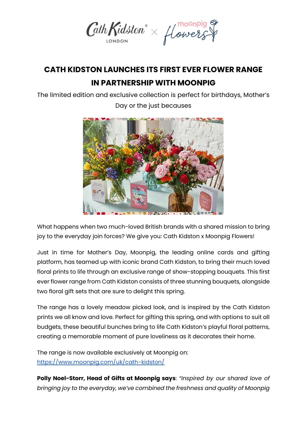

## **CATH KIDSTON LAUNCHES ITS FIRST EVER FLOWER RANGE IN PARTNERSHIP WITH MOONPIG**

The limited edition and exclusive collection is perfect for birthdays, Mother's



Day or the just becauses

What happens when two much-loved British brands with a shared mission to bring joy to the everyday join forces? We give you: Cath Kidston x Moonpig Flowers!

Just in time for Mother's Day, Moonpig, the leading online cards and gifting platform, has teamed up with iconic brand Cath Kidston, to bring their much loved floral prints to life through an exclusive range of show-stopping bouquets. This first ever flower range from Cath Kidston consists of three stunning bouquets, alongside two floral gift sets that are sure to delight this spring.

The range has a lovely meadow picked look, and is inspired by the Cath Kidston prints we all know and love. Perfect for gifting this spring, and with options to suit all budgets, these beautiful bunches bring to life Cath Kidston's playful floral patterns, creating a memorable moment of pure loveliness as it decorates their home.

The range is now available exclusively at Moonpig on: <https://www.moonpig.com/uk/cath-kidston/>

**Polly Noel-Storr, Head of Gifts at Moonpig says**: *"Inspired by our shared love of bringing joy to the everyday, we've combined the freshness and quality of Moonpig*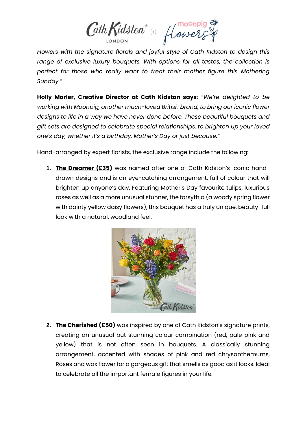$\mathcal{C}\!\mathit{athK\mathit{idston}}^\circ \times \textit{flowexs}^\circ$ 

*Flowers with the signature florals and joyful style of Cath Kidston to design this range of exclusive luxury bouquets. With options for all tastes, the collection is*  perfect for those who really want to treat their mother figure this Mothering *Sunday."*

**Holly Marler, Creative Director at Cath Kidston says**: "*We're delighted to be working with Moonpig, another much-loved British brand, to bring our iconic flower designs to life in a way we have never done before. These beautiful bouquets and gift sets are designed to celebrate special relationships, to brighten up your loved one's day, whether it's a birthday, Mother's Day or just because."*

Hand-arranged by expert florists, the exclusive range include the following:

**1. The Dreamer (£35)** was named after one of Cath Kidston's iconic handdrawn designs and is an eye-catching arrangement, full of colour that will brighten up anyone's day. Featuring Mother's Day favourite tulips, luxurious roses as well as a more unusual stunner, the forsythia (a woody spring flower with dainty yellow daisy flowers), this bouquet has a truly unique, beauty-full look with a natural, woodland feel.



**2. The Cherished (£50)** was inspired by one of Cath Kidston's signature prints, creating an unusual but stunning colour combination (red, pale pink and yellow) that is not often seen in bouquets. A classically stunning arrangement, accented with shades of pink and red chrysanthemums, Roses and wax flower for a gorgeous gift that smells as good as it looks. Ideal to celebrate all the important female figures in your life.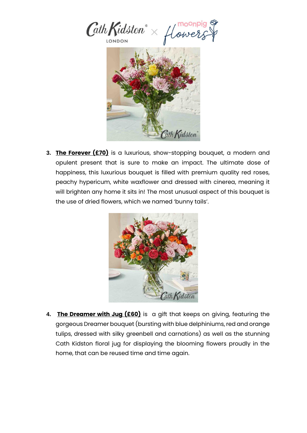

**3. The Forever (£70)** is a luxurious, show-stopping bouquet, a modern and opulent present that is sure to make an impact. The ultimate dose of happiness, this luxurious bouquet is filled with premium quality red roses, peachy hypericum, white waxflower and dressed with cinerea, meaning it will brighten any home it sits in! The most unusual aspect of this bouquet is the use of dried flowers, which we named 'bunny tails'.



**4. The Dreamer with Jug (£60)** is a gift that keeps on giving, featuring the gorgeous Dreamer bouquet (bursting with blue delphiniums, red and orange tulips, dressed with silky greenbell and carnations) as well as the stunning Cath Kidston floral jug for displaying the blooming flowers proudly in the home, that can be reused time and time again.